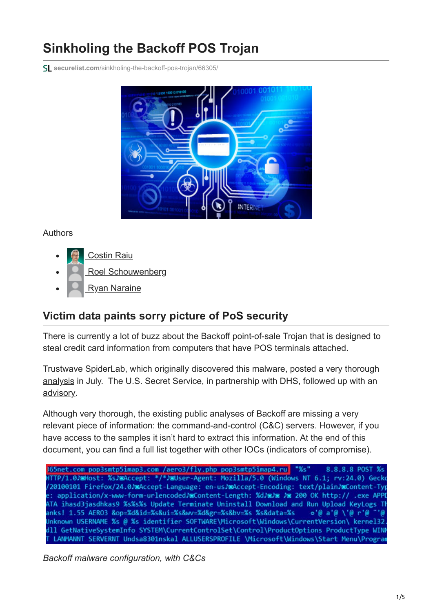# **Sinkholing the Backoff POS Trojan**

**securelist.com**[/sinkholing-the-backoff-pos-trojan/66305/](https://securelist.com/sinkholing-the-backoff-pos-trojan/66305/)



## Authors

- [Costin Raiu](https://securelist.com/author/costin/)
- [Roel Schouwenberg](https://securelist.com/author/roel/)
- [Ryan Naraine](https://securelist.com/author/ryan274/)

# **Victim data paints sorry picture of PoS security**

There is currently a lot of [buzz](http://threatpost.com/secret-service-warns-1000-businesses-hit-by-backoff-pos-malware) about the Backoff point-of-sale Trojan that is designed to steal credit card information from computers that have POS terminals attached.

Trustwave SpiderLab, which originally discovered this malware, posted a very thorough [analysis](http://blog.spiderlabs.com/2014/07/backoff-technical-analysis.html) in July. The U.S. Secret Service, in partnership with DHS, followed up with an [advisory.](https://www.documentcloud.org/documents/1279345-secret-service-malware-announcement.html)

Although very thorough, the existing public analyses of Backoff are missing a very relevant piece of information: the command-and-control (C&C) servers. However, if you have access to the samples it isn't hard to extract this information. At the end of this document, you can find a full list together with other IOCs (indicators of compromise).

365net.com pop3smtp5imap3.com /aero3/fly.php pop3smtp5imap4.ru 8.8.8.8 POST %s HTTP/1.0) Host: %sJMAccept: \*/\*JMUser-Agent: Mozilla/5.0 (Windows NT 6.1; rv:24.0) Gecko /20100101 Firefox/24.0/2Accept-Language: en-us/2Accept-Encoding: text/plain/2Content-Typ e: application/x-www-form-urlencoded/mContent-Length: %d/m/m /m 200 OK http:// .exe APPI ATA ihasd3jasdhkas9 %s%s%s Update Terminate Uninstall Download and Run Upload KeyLogs TH anks! 1.55 AERO3 &op=%d&id=%s&ui=%s&wv=%d&gr=%s&bv=%s %s&data=%s  $\circ' \theta$  a' $\theta$  \' $\theta$  r' $\theta$ Unknown USERNAME %s @ %s identifier SOFTWARE\Microsoft\Windows\CurrentVersion\ kernel32 dll GetNativeSvstemInfo SYSTEM\CurrentControlSet\Control\ProductOptions ProductTvpe WIN LANMANNT SERVERNT Undsa8301nskal ALLUSERSPROFILE \Microsoft\Windows\Start Menu\Program

*Backoff malware configuration, with C&Cs*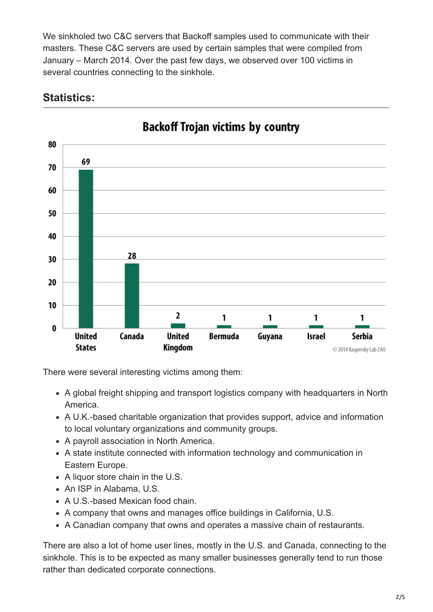We sinkholed two C&C servers that Backoff samples used to communicate with their masters. These C&C servers are used by certain samples that were compiled from January – March 2014. Over the past few days, we observed over 100 victims in several countries connecting to the sinkhole.



# **Statistics:**

There were several interesting victims among them:

- A global freight shipping and transport logistics company with headquarters in North America.
- A U.K.-based charitable organization that provides support, advice and information to local voluntary organizations and community groups.
- A payroll association in North America.
- A state institute connected with information technology and communication in Eastern Europe.
- A liquor store chain in the U.S.
- An ISP in Alabama, U.S.
- A U.S.-based Mexican food chain.
- A company that owns and manages office buildings in California, U.S.
- A Canadian company that owns and operates a massive chain of restaurants.

There are also a lot of home user lines, mostly in the U.S. and Canada, connecting to the sinkhole. This is to be expected as many smaller businesses generally tend to run those rather than dedicated corporate connections.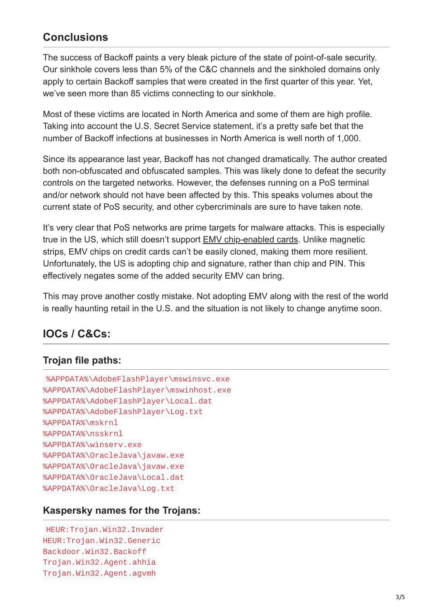# **Conclusions**

The success of Backoff paints a very bleak picture of the state of point-of-sale security. Our sinkhole covers less than 5% of the C&C channels and the sinkholed domains only apply to certain Backoff samples that were created in the first quarter of this year. Yet, we've seen more than 85 victims connecting to our sinkhole.

Most of these victims are located in North America and some of them are high profile. Taking into account the U.S. Secret Service statement, it's a pretty safe bet that the number of Backoff infections at businesses in North America is well north of 1,000.

Since its appearance last year, Backoff has not changed dramatically. The author created both non-obfuscated and obfuscated samples. This was likely done to defeat the security controls on the targeted networks. However, the defenses running on a PoS terminal and/or network should not have been affected by this. This speaks volumes about the current state of PoS security, and other cybercriminals are sure to have taken note.

It's very clear that PoS networks are prime targets for malware attacks. This is especially true in the US, which still doesn't support [EMV chip-enabled cards](http://en.wikipedia.org/wiki/EMV). Unlike magnetic strips, EMV chips on credit cards can't be easily cloned, making them more resilient. Unfortunately, the US is adopting chip and signature, rather than chip and PIN. This effectively negates some of the added security EMV can bring.

This may prove another costly mistake. Not adopting EMV along with the rest of the world is really haunting retail in the U.S. and the situation is not likely to change anytime soon.

# **IOCs / C&Cs:**

## **Trojan file paths:**

```
%APPDATA%\AdobeFlashPlayer\mswinsvc.exe
%APPDATA%\AdobeFlashPlayer\mswinhost.exe
%APPDATA%\AdobeFlashPlayer\Local.dat
%APPDATA%\AdobeFlashPlayer\Log.txt
%APPDATA%\mskrnl
%APPDATA%\nsskrnl
%APPDATA%\winserv.exe
%APPDATA%\OracleJava\javaw.exe
%APPDATA%\OracleJava\javaw.exe
%APPDATA%\OracleJava\Local.dat
%APPDATA%\OracleJava\Log.txt
```
## **Kaspersky names for the Trojans:**

```
HEUR:Trojan.Win32.Invader
HEUR:Trojan.Win32.Generic
Backdoor.Win32.Backoff
Trojan.Win32.Agent.ahhia
Trojan.Win32.Agent.agvmh
```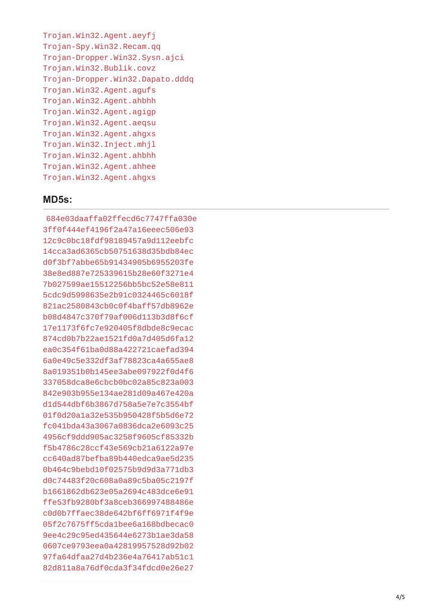```
Trojan.Win32.Agent.aeyfj
Trojan-Spy.Win32.Recam.qq
Trojan-Dropper.Win32.Sysn.ajci
T
r
o
j
a
n.W
i
n
3
2.B
u
b
l
i
k.c
o
v
z
Trojan-Dropper.Win32.Dapato.dddq
Trojan.Win32.Agent.agufs
Trojan.Win32.Agent.ahbhh
Trojan.Win32.Agent.agigp
Trojan.Win32.Agent.aeqsu
Trojan.Win32.Agent.ahgxs
Trojan.Win32.Inject.mhjl
Trojan.Win32.Agent.ahbhh
Trojan.Win32.Agent.ahhee
Trojan.Win32.Agent.ahgxs
```
#### **MD5s:**

684e03 d a a f f a 0 2 f f e c d 6 c 7 7 4 7 f f a 0 3 0 e 3ff0f444ef4196f2a47a16eeec506e93 12c9c0bc18fdf98189457a9d112eebfc 1 4 c c a 3 a d 6 3 6 5 c b 5 0 7 5 1 6 3 8 d 3 5 b d b 8 4 e c d 0 f 3 b f 7 a b b e 6 5 b 9 1 4 3 4 9 0 5 b 6 9 5 5 2 0 3 f e 38e8ed887e725339615b28e60f3271e4 7b027599ae15512256bb5bc52e58e811 5cdc9d5998635e2b91c0324465c6018f 821ac2580843cb0c0f4baff57db8962e b08d4847c370f79af006d113b3d8f6cf 17e1173f6fc7e920405f8dbde8c9ecac 874cd0b7b22ae1521fd0a7d405d6fa12 ea0c354f61ba0d88a422721caefad394 6 a 0 e 4 9 c 5 e 3 3 2 d f 3 a f 7 8 8 2 3 c a 4 a 6 5 5 a e 8 8 a 0 1 9 3 5 1 b 0 b 1 4 5 e e 3 a b e 0 9 7 9 2 2 f 0 d 4 f 6 337058dca8e6cbcb0bc02a85c823a003 842e903b955e134ae281d09a467e420a d1d544dbf6b3867d758a5e7e7c3554bf 01f0d20a1a32e535b950428f5b5d6e72 f c 0 4 1 b d a 4 3 a 3 0 6 7 a 0 8 3 6 d c a 2 e 6 0 9 3 c 2 5 4956cf9ddd905ac3258f9605cf85332b f 5 b 4 7 8 6 c 2 8 c c f 4 3 e 5 6 9 c b 2 1 a 6 1 2 2 a 9 7 e c c 6 4 0 a d 8 7 b e f b a 8 9 b 4 4 0 e d c a 9 a e 5 d 2 3 5 0b464c9bebd10f02575b9d9d3a771db3 d0c74483f20c608a0a89c5ba05c2197f b1661862db623e05a2694c483dce6e91 f f e 5 3 f b 9 2 8 0 b f 3 a 8 c e b 3 6 6 9 9 7 4 8 8 4 8 6 e c0d0b7ffaec38de642bf6ff6971f4f9e 05f2c7675ff5cda1bee6a168bdbecac0 9 e e 4 c 2 9 c 9 5 e d 4 3 5 6 4 4 e 6 2 7 3 b 1 a e 3 d a 5 8 0607ce9793eea0a42819957528d92b02 97fa64dfaa27d4b236e4a76417ab51c1 82d811a8a76df0cda3f34fdcd0e26e27